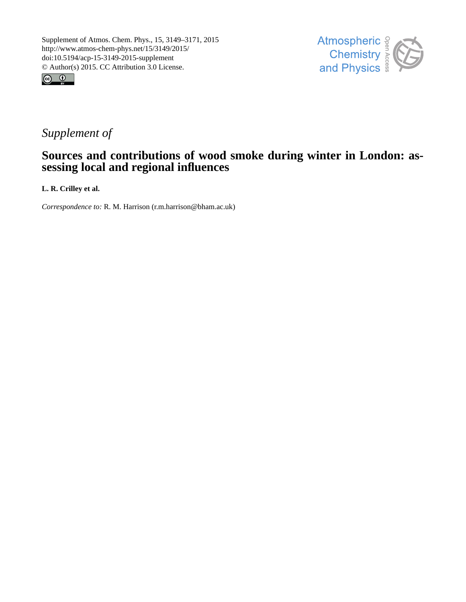



## *Supplement of*

## **Sources and contributions of wood smoke during winter in London: assessing local and regional influences**

**L. R. Crilley et al.**

*Correspondence to:* R. M. Harrison (r.m.harrison@bham.ac.uk)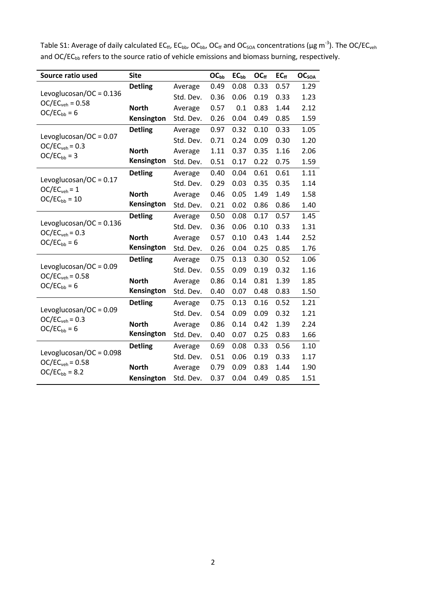| Source ratio used                                                    | <b>Site</b>    |           | OC <sub>bb</sub> | EC <sub>bb</sub> | OC <sub>ff</sub> | $EC_{ff}$ | OC <sub>SOA</sub> |
|----------------------------------------------------------------------|----------------|-----------|------------------|------------------|------------------|-----------|-------------------|
| Levoglucosan/OC = $0.136$<br>$OC/ECveh = 0.58$<br>$OC/EC_{bb} = 6$   | <b>Detling</b> | Average   | 0.49             | 0.08             | 0.33             | 0.57      | 1.29              |
|                                                                      |                | Std. Dev. | 0.36             | 0.06             | 0.19             | 0.33      | 1.23              |
|                                                                      | <b>North</b>   | Average   | 0.57             | 0.1              | 0.83             | 1.44      | 2.12              |
|                                                                      | Kensington     | Std. Dev. | 0.26             | 0.04             | 0.49             | 0.85      | 1.59              |
| Levoglucosan/OC = $0.07$<br>$OC/ECveh = 0.3$<br>$OC/EC_{bb} = 3$     | <b>Detling</b> | Average   | 0.97             | 0.32             | 0.10             | 0.33      | 1.05              |
|                                                                      |                | Std. Dev. | 0.71             | 0.24             | 0.09             | 0.30      | 1.20              |
|                                                                      | <b>North</b>   | Average   | 1.11             | 0.37             | 0.35             | 1.16      | 2.06              |
|                                                                      | Kensington     | Std. Dev. | 0.51             | 0.17             | 0.22             | 0.75      | 1.59              |
| Levoglucosan/OC = $0.17$<br>$OC/ECveh = 1$<br>$OC/EC_{bb} = 10$      | <b>Detling</b> | Average   | 0.40             | 0.04             | 0.61             | 0.61      | 1.11              |
|                                                                      |                | Std. Dev. | 0.29             | 0.03             | 0.35             | 0.35      | 1.14              |
|                                                                      | <b>North</b>   | Average   | 0.46             | 0.05             | 1.49             | 1.49      | 1.58              |
|                                                                      | Kensington     | Std. Dev. | 0.21             | 0.02             | 0.86             | 0.86      | 1.40              |
| Levoglucosan/OC = $0.136$<br>$OC/ECveh = 0.3$<br>$OC/ECbb = 6$       | <b>Detling</b> | Average   | 0.50             | 0.08             | 0.17             | 0.57      | 1.45              |
|                                                                      |                | Std. Dev. | 0.36             | 0.06             | 0.10             | 0.33      | 1.31              |
|                                                                      | <b>North</b>   | Average   | 0.57             | 0.10             | 0.43             | 1.44      | 2.52              |
|                                                                      | Kensington     | Std. Dev. | 0.26             | 0.04             | 0.25             | 0.85      | 1.76              |
| Levoglucosan/OC = $0.09$<br>$OC/ECveh = 0.58$<br>$OC/EC_{bb} = 6$    | <b>Detling</b> | Average   | 0.75             | 0.13             | 0.30             | 0.52      | 1.06              |
|                                                                      |                | Std. Dev. | 0.55             | 0.09             | 0.19             | 0.32      | 1.16              |
|                                                                      | <b>North</b>   | Average   | 0.86             | 0.14             | 0.81             | 1.39      | 1.85              |
|                                                                      | Kensington     | Std. Dev. | 0.40             | 0.07             | 0.48             | 0.83      | 1.50              |
| Levoglucosan/OC = $0.09$<br>$OC/ECveh = 0.3$<br>$OC/EC_{bb} = 6$     | <b>Detling</b> | Average   | 0.75             | 0.13             | 0.16             | 0.52      | 1.21              |
|                                                                      |                | Std. Dev. | 0.54             | 0.09             | 0.09             | 0.32      | 1.21              |
|                                                                      | <b>North</b>   | Average   | 0.86             | 0.14             | 0.42             | 1.39      | 2.24              |
|                                                                      | Kensington     | Std. Dev. | 0.40             | 0.07             | 0.25             | 0.83      | 1.66              |
| Levoglucosan/OC = $0.098$<br>$OC/ECveh = 0.58$<br>$OC/EC_{bb} = 8.2$ | <b>Detling</b> | Average   | 0.69             | 0.08             | 0.33             | 0.56      | 1.10              |
|                                                                      |                | Std. Dev. | 0.51             | 0.06             | 0.19             | 0.33      | 1.17              |
|                                                                      | <b>North</b>   | Average   | 0.79             | 0.09             | 0.83             | 1.44      | 1.90              |
|                                                                      | Kensington     | Std. Dev. | 0.37             | 0.04             | 0.49             | 0.85      | 1.51              |

Table S1: Average of daily calculated EC<sub>ff</sub>, EC<sub>bb</sub>, OC<sub>bb</sub>, OC<sub>ff</sub> and OC<sub>SOA</sub> concentrations (µg m<sup>-3</sup>). The OC/EC<sub>veh</sub> and OC/EC<sub>bb</sub> refers to the source ratio of vehicle emissions and biomass burning, respectively.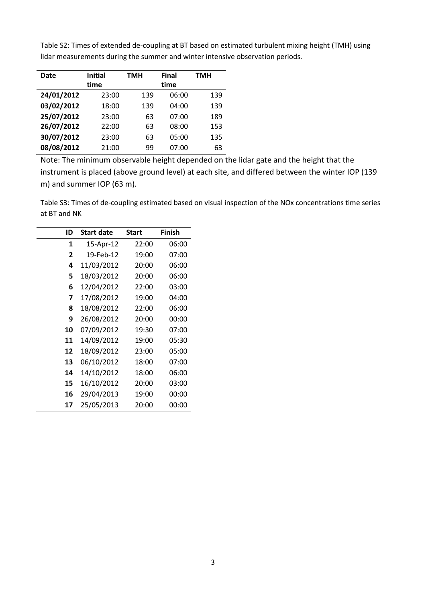| Date       | <b>Initial</b> | TMH | <b>Final</b> |     |
|------------|----------------|-----|--------------|-----|
|            | time           |     | time         |     |
| 24/01/2012 | 23:00          | 139 | 06:00        | 139 |
| 03/02/2012 | 18:00          | 139 | 04:00        | 139 |
| 25/07/2012 | 23:00          | 63  | 07:00        | 189 |
| 26/07/2012 | 22:00          | 63  | 08:00        | 153 |
| 30/07/2012 | 23:00          | 63  | 05:00        | 135 |
| 08/08/2012 | 21:00          | 99  | 07:00        | 63  |

Table S2: Times of extended de-coupling at BT based on estimated turbulent mixing height (TMH) using lidar measurements during the summer and winter intensive observation periods.

Note: The minimum observable height depended on the lidar gate and the height that the instrument is placed (above ground level) at each site, and differed between the winter IOP (139 m) and summer IOP (63 m).

Table S3: Times of de-coupling estimated based on visual inspection of the NOx concentrations time series at BT and NK

| ID | Start date | <b>Start</b> | <b>Finish</b> |
|----|------------|--------------|---------------|
| 1  | 15-Apr-12  | 22:00        | 06:00         |
| 2  | 19-Feb-12  | 19:00        | 07:00         |
| 4  | 11/03/2012 | 20:00        | 06:00         |
| 5  | 18/03/2012 | 20:00        | 06:00         |
| 6  | 12/04/2012 | 22:00        | 03:00         |
| 7  | 17/08/2012 | 19:00        | 04:00         |
| 8  | 18/08/2012 | 22:00        | 06:00         |
| 9  | 26/08/2012 | 20:00        | 00:00         |
| 10 | 07/09/2012 | 19:30        | 07:00         |
| 11 | 14/09/2012 | 19:00        | 05:30         |
| 12 | 18/09/2012 | 23:00        | 05:00         |
| 13 | 06/10/2012 | 18:00        | 07:00         |
| 14 | 14/10/2012 | 18:00        | 06:00         |
| 15 | 16/10/2012 | 20:00        | 03:00         |
| 16 | 29/04/2013 | 19:00        | 00:00         |
| 17 | 25/05/2013 | 20:00        | 00:00         |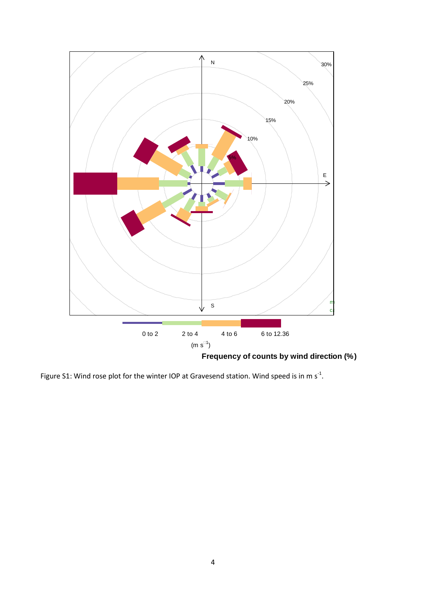

Figure S1: Wind rose plot for the winter IOP at Gravesend station. Wind speed is in m  $s^{-1}$ .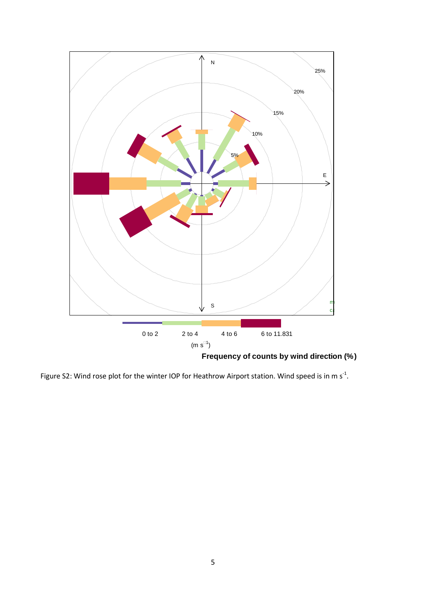

Figure S2: Wind rose plot for the winter IOP for Heathrow Airport station. Wind speed is in m s<sup>-1</sup>.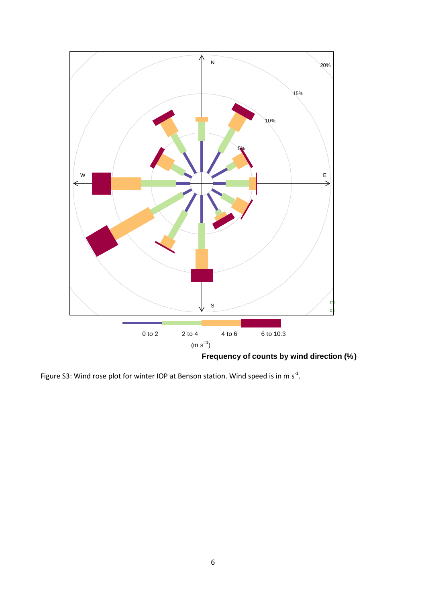

Figure S3: Wind rose plot for winter IOP at Benson station. Wind speed is in m  $s^{-1}$ .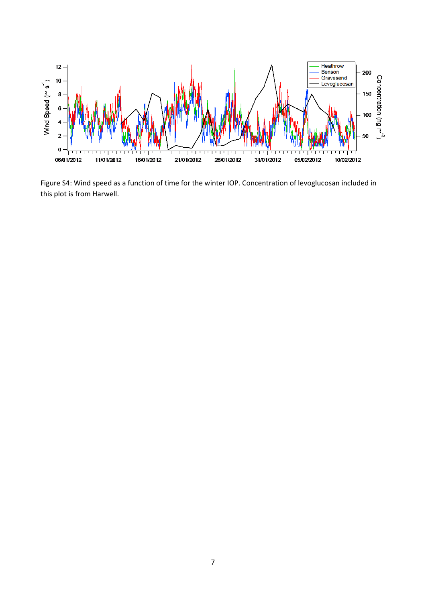

Figure S4: Wind speed as a function of time for the winter IOP. Concentration of levoglucosan included in this plot is from Harwell.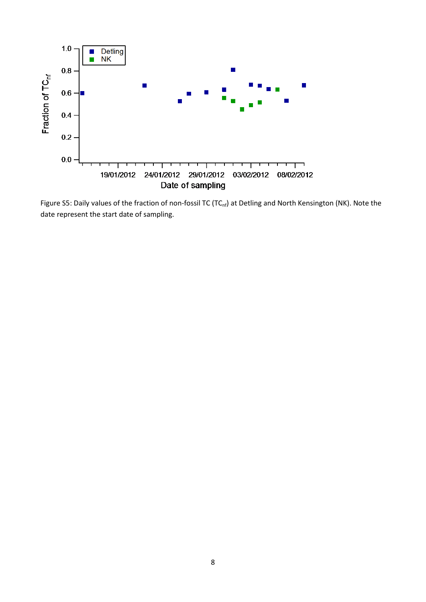

Figure S5: Daily values of the fraction of non-fossil TC (TC<sub>nf</sub>) at Detling and North Kensington (NK). Note the date represent the start date of sampling.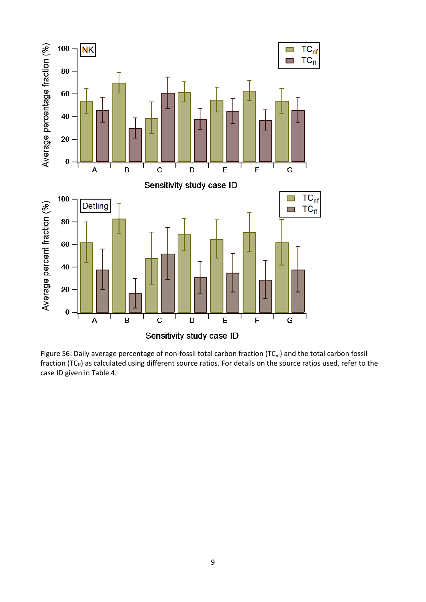

Figure S6: Daily average percentage of non-fossil total carbon fraction (TC<sub>nf</sub>) and the total carbon fossil fraction (TC $_{\rm ff}$ ) as calculated using different source ratios. For details on the source ratios used, refer to the case ID given in Table 4.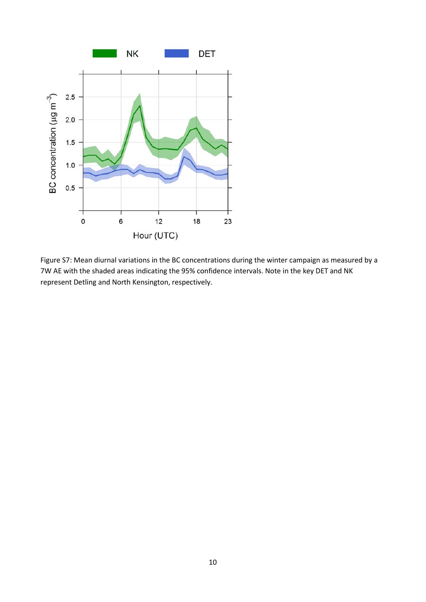

Figure S7: Mean diurnal variations in the BC concentrations during the winter campaign as measured by a 7W AE with the shaded areas indicating the 95% confidence intervals. Note in the key DET and NK represent Detling and North Kensington, respectively.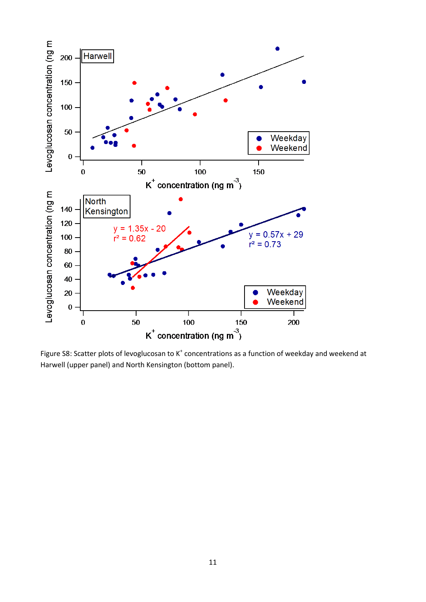

Figure S8: Scatter plots of levoglucosan to  $K^+$  concentrations as a function of weekday and weekend at Harwell (upper panel) and North Kensington (bottom panel).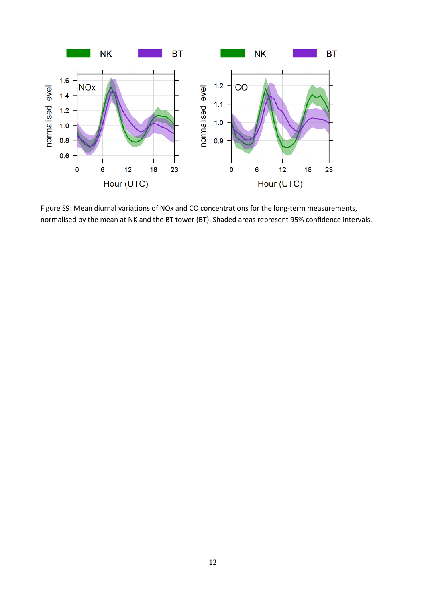

Figure S9: Mean diurnal variations of NOx and CO concentrations for the long-term measurements, normalised by the mean at NK and the BT tower (BT). Shaded areas represent 95% confidence intervals.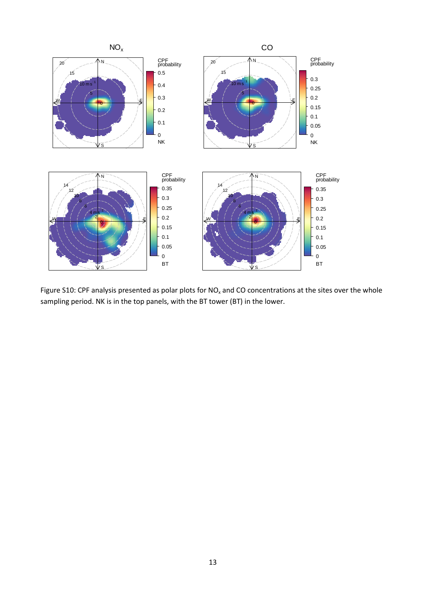

Figure S10: CPF analysis presented as polar plots for  $NO<sub>x</sub>$  and CO concentrations at the sites over the whole sampling period. NK is in the top panels, with the BT tower (BT) in the lower.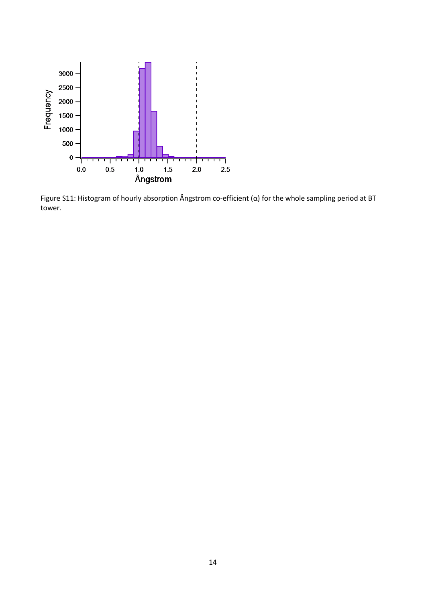

Figure S11: Histogram of hourly absorption Ångstrom co-efficient (α) for the whole sampling period at BT tower.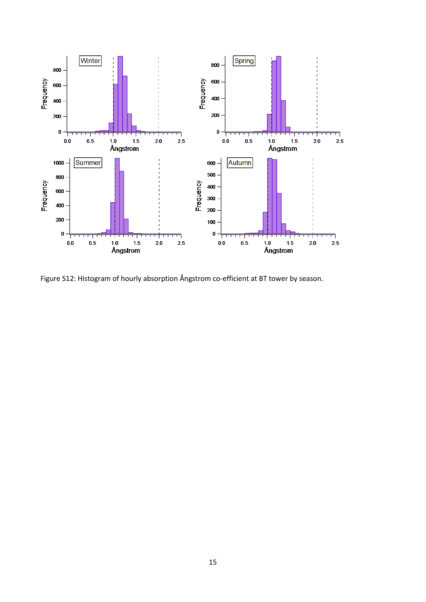

Figure S12: Histogram of hourly absorption Ångstrom co-efficient at BT tower by season.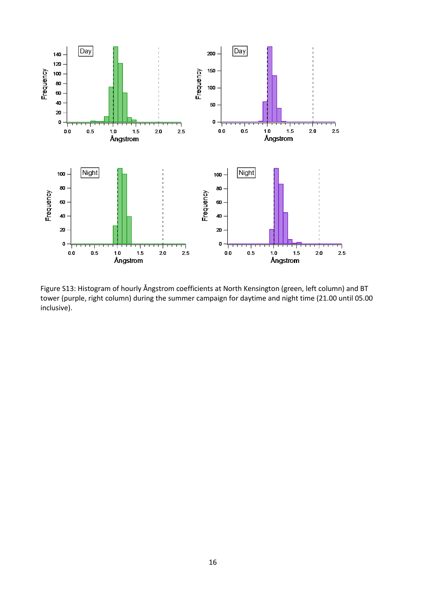

Figure S13: Histogram of hourly Ångstrom coefficients at North Kensington (green, left column) and BT tower (purple, right column) during the summer campaign for daytime and night time (21.00 until 05.00 inclusive).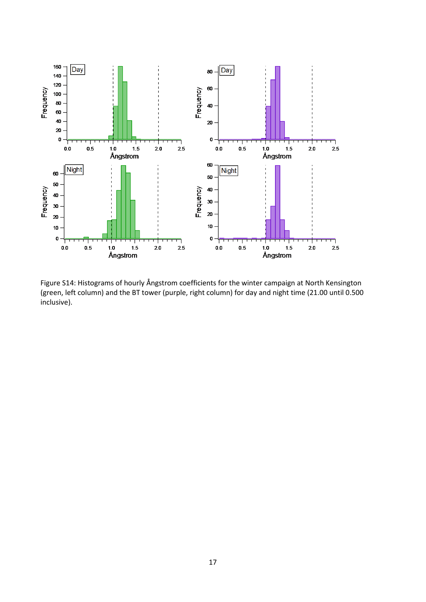

Figure S14: Histograms of hourly Ångstrom coefficients for the winter campaign at North Kensington (green, left column) and the BT tower (purple, right column) for day and night time (21.00 until 0.500 inclusive).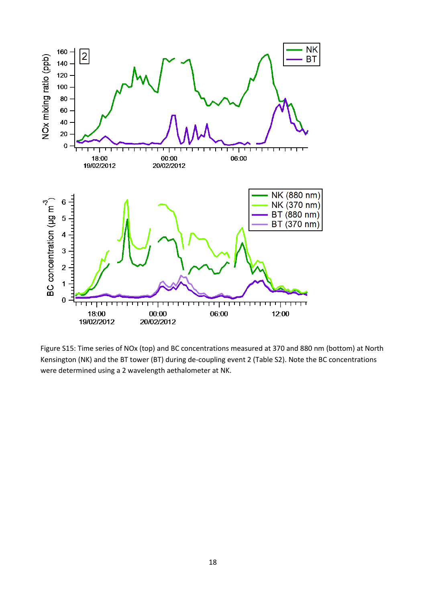

Figure S15: Time series of NOx (top) and BC concentrations measured at 370 and 880 nm (bottom) at North Kensington (NK) and the BT tower (BT) during de-coupling event 2 (Table S2). Note the BC concentrations were determined using a 2 wavelength aethalometer at NK.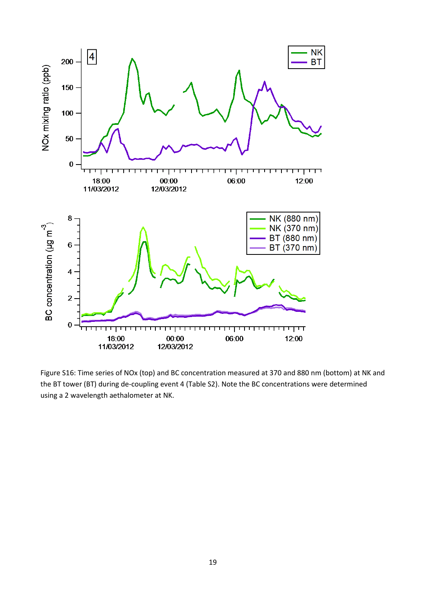

Figure S16: Time series of NOx (top) and BC concentration measured at 370 and 880 nm (bottom) at NK and the BT tower (BT) during de-coupling event 4 (Table S2). Note the BC concentrations were determined using a 2 wavelength aethalometer at NK.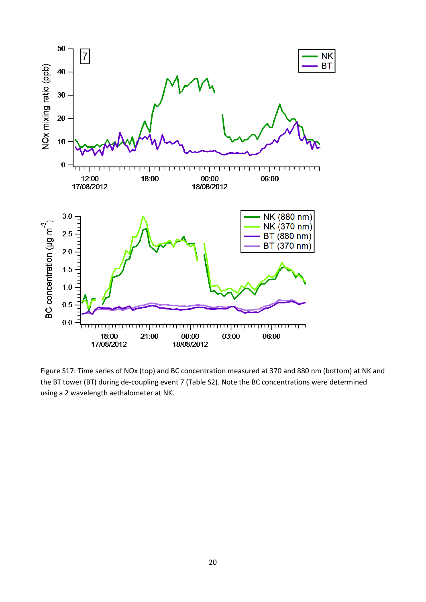

Figure S17: Time series of NOx (top) and BC concentration measured at 370 and 880 nm (bottom) at NK and the BT tower (BT) during de-coupling event 7 (Table S2). Note the BC concentrations were determined using a 2 wavelength aethalometer at NK.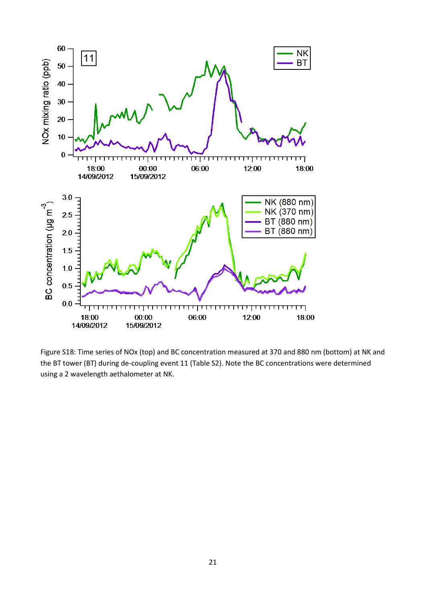

Figure S18: Time series of NOx (top) and BC concentration measured at 370 and 880 nm (bottom) at NK and the BT tower (BT) during de-coupling event 11 (Table S2). Note the BC concentrations were determined using a 2 wavelength aethalometer at NK.